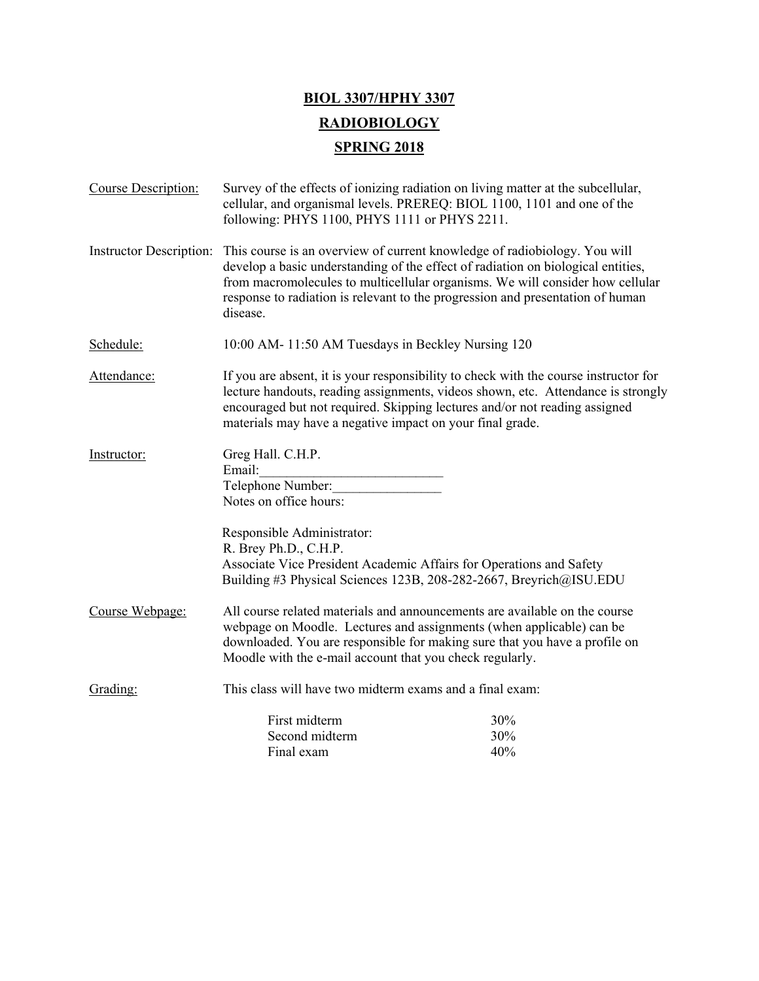## **BIOL 3307/HPHY 3307 RADIOBIOLOGY SPRING 2018**

| Course Description:     | Survey of the effects of ionizing radiation on living matter at the subcellular,<br>cellular, and organismal levels. PREREQ: BIOL 1100, 1101 and one of the<br>following: PHYS 1100, PHYS 1111 or PHYS 2211.                                                                                                                                 |                   |
|-------------------------|----------------------------------------------------------------------------------------------------------------------------------------------------------------------------------------------------------------------------------------------------------------------------------------------------------------------------------------------|-------------------|
| Instructor Description: | This course is an overview of current knowledge of radiobiology. You will<br>develop a basic understanding of the effect of radiation on biological entities,<br>from macromolecules to multicellular organisms. We will consider how cellular<br>response to radiation is relevant to the progression and presentation of human<br>disease. |                   |
| Schedule:               | 10:00 AM-11:50 AM Tuesdays in Beckley Nursing 120                                                                                                                                                                                                                                                                                            |                   |
| Attendance:             | If you are absent, it is your responsibility to check with the course instructor for<br>lecture handouts, reading assignments, videos shown, etc. Attendance is strongly<br>encouraged but not required. Skipping lectures and/or not reading assigned<br>materials may have a negative impact on your final grade.                          |                   |
| Instructor:             | Greg Hall. C.H.P.<br>Email:<br>Telephone Number:<br>Notes on office hours:<br>Responsible Administrator:<br>R. Brey Ph.D., C.H.P.<br>Associate Vice President Academic Affairs for Operations and Safety                                                                                                                                     |                   |
|                         | Building #3 Physical Sciences 123B, 208-282-2667, Breyrich@ISU.EDU                                                                                                                                                                                                                                                                           |                   |
| Course Webpage:         | All course related materials and announcements are available on the course<br>webpage on Moodle. Lectures and assignments (when applicable) can be<br>downloaded. You are responsible for making sure that you have a profile on<br>Moodle with the e-mail account that you check regularly.                                                 |                   |
| Grading:                | This class will have two midterm exams and a final exam:                                                                                                                                                                                                                                                                                     |                   |
|                         | First midterm<br>Second midterm<br>Final exam                                                                                                                                                                                                                                                                                                | 30%<br>30%<br>40% |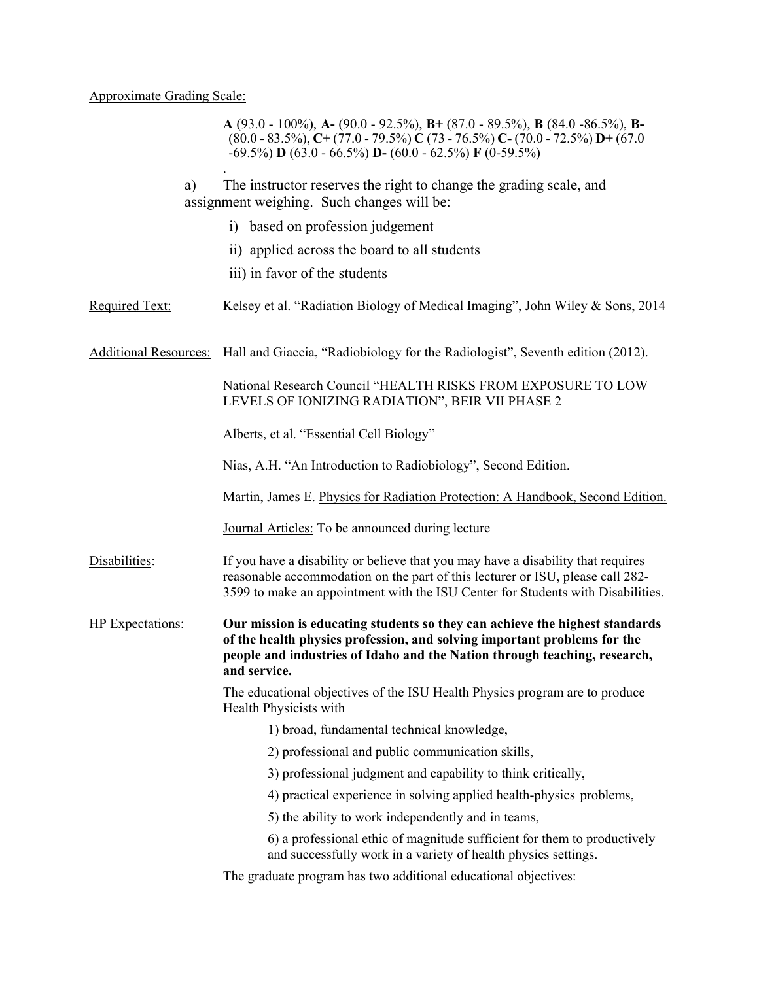## Approximate Grading Scale:

**A** (93.0 - 100%), **A-** (90.0 - 92.5%), **B+** (87.0 - 89.5%), **B** (84.0 -86.5%), **B-** (80.0 - 83.5%), **C+** (77.0 - 79.5%) **C** (73 - 76.5%) **C-** (70.0 - 72.5%) **D+** (67.0 -69.5%) **D** (63.0 - 66.5%) **D-** (60.0 - 62.5%) **F** (0-59.5%) . a) The instructor reserves the right to change the grading scale, and assignment weighing. Such changes will be: i) based on profession judgement ii) applied across the board to all students iii) in favor of the students Required Text: Kelsey et al. "Radiation Biology of Medical Imaging", John Wiley & Sons, 2014 Additional Resources: Hall and Giaccia, "Radiobiology for the Radiologist", Seventh edition (2012). National Research Council "HEALTH RISKS FROM EXPOSURE TO LOW LEVELS OF IONIZING RADIATION", BEIR VII PHASE 2 Alberts, et al. "Essential Cell Biology" Nias, A.H. "An Introduction to Radiobiology", Second Edition. Martin, James E. Physics for Radiation Protection: A Handbook, Second Edition. Journal Articles: To be announced during lecture Disabilities: If you have a disability or believe that you may have a disability that requires reasonable accommodation on the part of this lecturer or ISU, please call 282- 3599 to make an appointment with the ISU Center for Students with Disabilities. HP Expectations: **Our mission is educating students so they can achieve the highest standards of the health physics profession, and solving important problems for the people and industries of Idaho and the Nation through teaching, research, and service.** The educational objectives of the ISU Health Physics program are to produce Health Physicists with 1) broad, fundamental technical knowledge, 2) professional and public communication skills, 3) professional judgment and capability to think critically, 4) practical experience in solving applied health-physics problems, 5) the ability to work independently and in teams, 6) a professional ethic of magnitude sufficient for them to productively and successfully work in a variety of health physics settings.

The graduate program has two additional educational objectives: